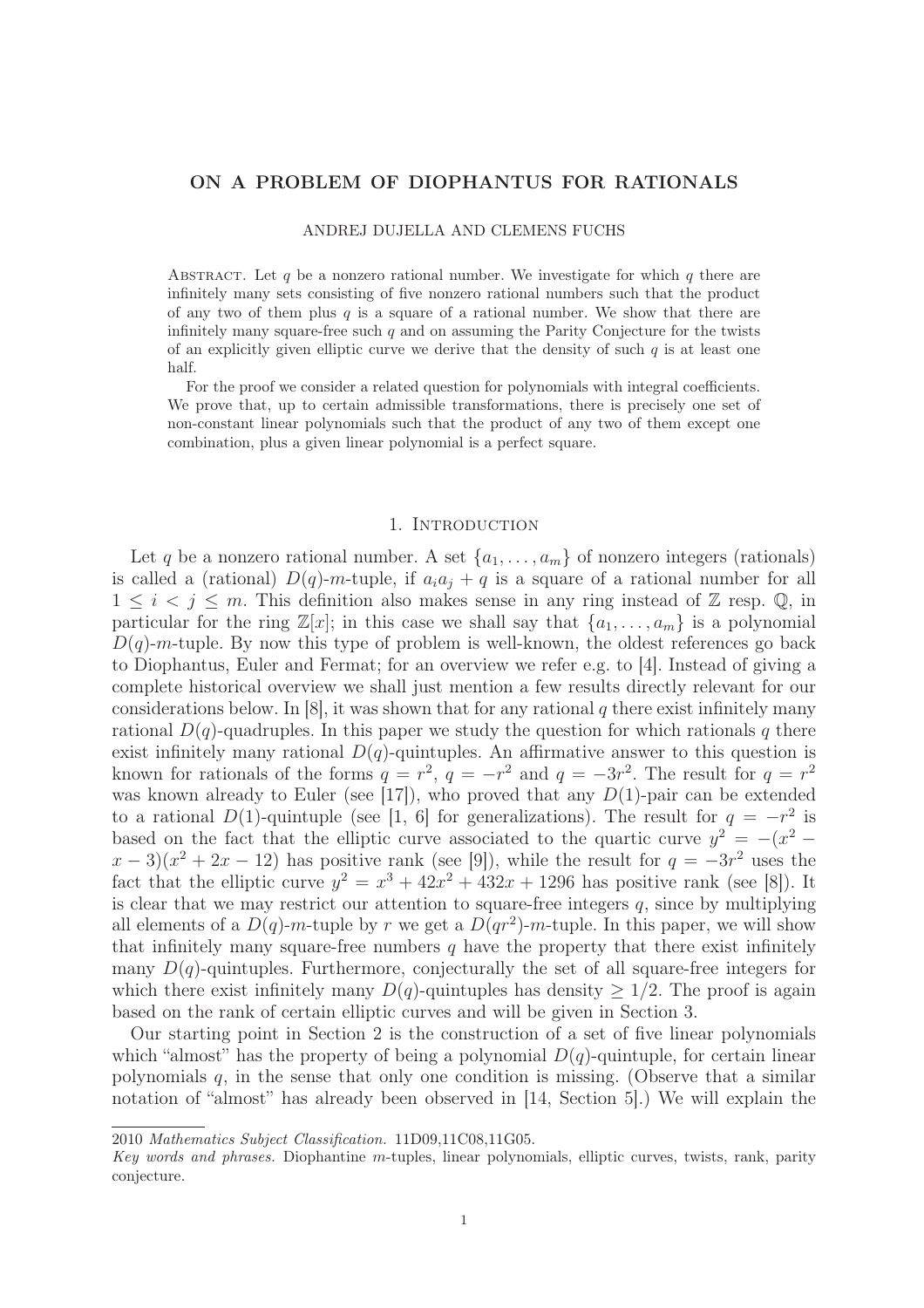# ON A PROBLEM OF DIOPHANTUS FOR RATIONALS

### ANDREJ DUJELLA AND CLEMENS FUCHS

ABSTRACT. Let  $q$  be a nonzero rational number. We investigate for which  $q$  there are infinitely many sets consisting of five nonzero rational numbers such that the product of any two of them plus  $q$  is a square of a rational number. We show that there are infinitely many square-free such  $q$  and on assuming the Parity Conjecture for the twists of an explicitly given elliptic curve we derive that the density of such  $q$  is at least one half.

For the proof we consider a related question for polynomials with integral coefficients. We prove that, up to certain admissible transformations, there is precisely one set of non-constant linear polynomials such that the product of any two of them except one combination, plus a given linear polynomial is a perfect square.

## 1. INTRODUCTION

Let q be a nonzero rational number. A set  $\{a_1, \ldots, a_m\}$  of nonzero integers (rationals) is called a (rational)  $D(q)$ -m-tuple, if  $a_i a_j + q$  is a square of a rational number for all  $1 \leq i \leq j \leq m$ . This definition also makes sense in any ring instead of Z resp. Q, in particular for the ring  $\mathbb{Z}[x]$ ; in this case we shall say that  $\{a_1, \ldots, a_m\}$  is a polynomial  $D(q)$ -m-tuple. By now this type of problem is well-known, the oldest references go back to Diophantus, Euler and Fermat; for an overview we refer e.g. to [4]. Instead of giving a complete historical overview we shall just mention a few results directly relevant for our considerations below. In [8], it was shown that for any rational q there exist infinitely many rational  $D(q)$ -quadruples. In this paper we study the question for which rationals q there exist infinitely many rational  $D(q)$ -quintuples. An affirmative answer to this question is known for rationals of the forms  $q = r^2$ ,  $q = -r^2$  and  $q = -3r^2$ . The result for  $q = r^2$ was known already to Euler (see [17]), who proved that any  $D(1)$ -pair can be extended to a rational  $D(1)$ -quintuple (see [1, 6] for generalizations). The result for  $q = -r^2$  is based on the fact that the elliptic curve associated to the quartic curve  $y^2 = -(x^2 (x-3)(x^2+2x-12)$  has positive rank (see [9]), while the result for  $q=-3r^2$  uses the fact that the elliptic curve  $y^2 = x^3 + 42x^2 + 432x + 1296$  has positive rank (see [8]). It is clear that we may restrict our attention to square-free integers  $q$ , since by multiplying all elements of a  $D(q)$ -m-tuple by r we get a  $D(qr^2)$ -m-tuple. In this paper, we will show that infinitely many square-free numbers  $q$  have the property that there exist infinitely many  $D(q)$ -quintuples. Furthermore, conjecturally the set of all square-free integers for which there exist infinitely many  $D(q)$ -quintuples has density  $\geq 1/2$ . The proof is again based on the rank of certain elliptic curves and will be given in Section 3.

Our starting point in Section 2 is the construction of a set of five linear polynomials which "almost" has the property of being a polynomial  $D(q)$ -quintuple, for certain linear polynomials  $q$ , in the sense that only one condition is missing. (Observe that a similar notation of "almost" has already been observed in [14, Section 5].) We will explain the

2010 Mathematics Subject Classification. 11D09,11C08,11G05.

Key words and phrases. Diophantine m-tuples, linear polynomials, elliptic curves, twists, rank, parity conjecture.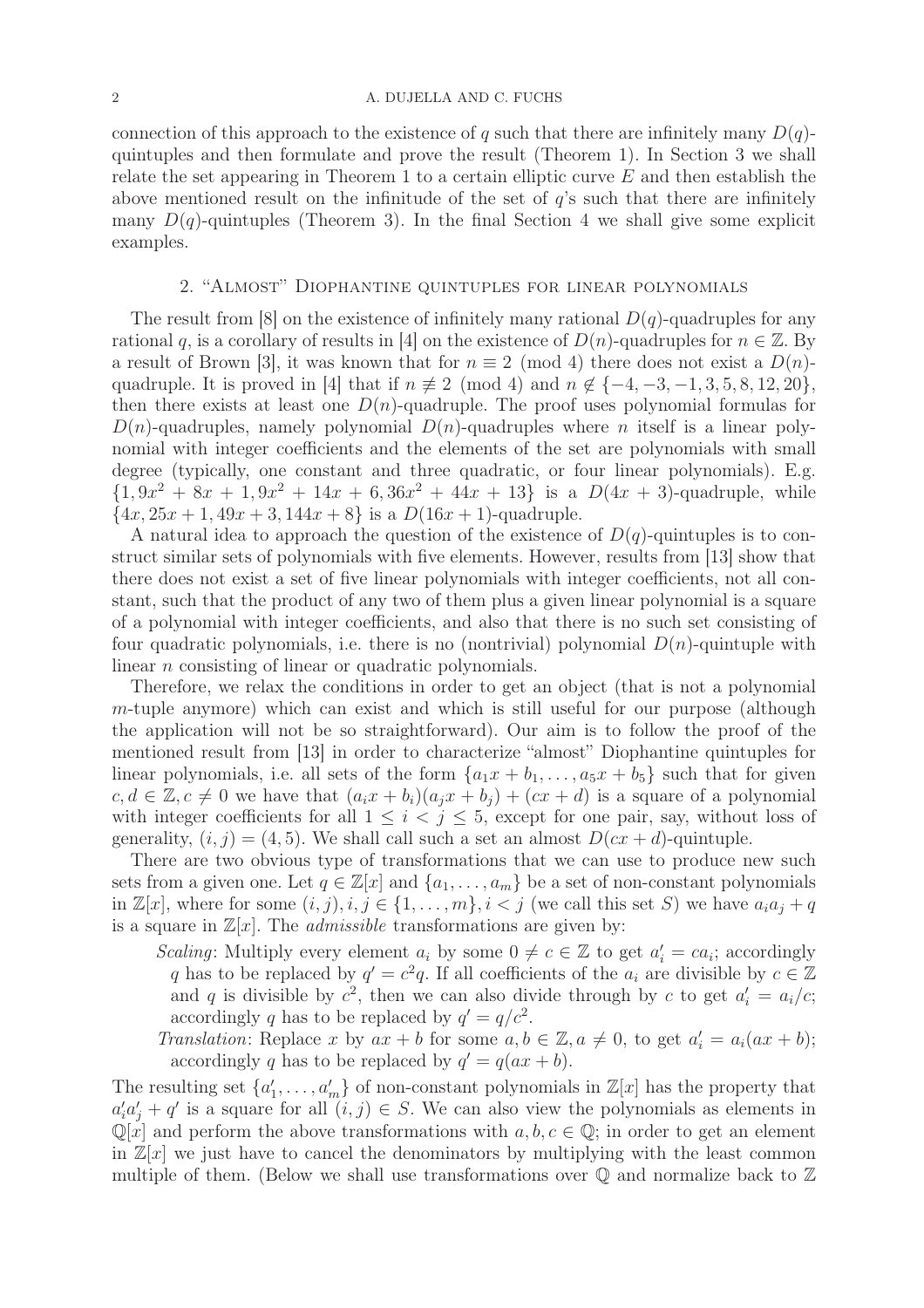connection of this approach to the existence of q such that there are infinitely many  $D(q)$ quintuples and then formulate and prove the result (Theorem 1). In Section 3 we shall relate the set appearing in Theorem 1 to a certain elliptic curve  $E$  and then establish the above mentioned result on the infinitude of the set of  $q$ 's such that there are infinitely many  $D(q)$ -quintuples (Theorem 3). In the final Section 4 we shall give some explicit examples.

## 2. "Almost" Diophantine quintuples for linear polynomials

The result from [8] on the existence of infinitely many rational  $D(q)$ -quadruples for any rational q, is a corollary of results in [4] on the existence of  $D(n)$ -quadruples for  $n \in \mathbb{Z}$ . By a result of Brown [3], it was known that for  $n \equiv 2 \pmod{4}$  there does not exist a  $D(n)$ quadruple. It is proved in [4] that if  $n \neq 2 \pmod{4}$  and  $n \notin \{-4, -3, -1, 3, 5, 8, 12, 20\}$ , then there exists at least one  $D(n)$ -quadruple. The proof uses polynomial formulas for  $D(n)$ -quadruples, namely polynomial  $D(n)$ -quadruples where n itself is a linear polynomial with integer coefficients and the elements of the set are polynomials with small degree (typically, one constant and three quadratic, or four linear polynomials). E.g.  $\{1, 9x^2 + 8x + 1, 9x^2 + 14x + 6, 36x^2 + 44x + 13\}$  is a  $D(4x + 3)$ -quadruple, while  $\{4x, 25x + 1, 49x + 3, 144x + 8\}$  is a  $D(16x + 1)$ -quadruple.

A natural idea to approach the question of the existence of  $D(q)$ -quintuples is to construct similar sets of polynomials with five elements. However, results from [13] show that there does not exist a set of five linear polynomials with integer coefficients, not all constant, such that the product of any two of them plus a given linear polynomial is a square of a polynomial with integer coefficients, and also that there is no such set consisting of four quadratic polynomials, i.e. there is no (nontrivial) polynomial  $D(n)$ -quintuple with linear *n* consisting of linear or quadratic polynomials.

Therefore, we relax the conditions in order to get an object (that is not a polynomial m-tuple anymore) which can exist and which is still useful for our purpose (although the application will not be so straightforward). Our aim is to follow the proof of the mentioned result from [13] in order to characterize "almost" Diophantine quintuples for linear polynomials, i.e. all sets of the form  $\{a_1x + b_1, \ldots, a_5x + b_5\}$  such that for given  $c, d \in \mathbb{Z}, c \neq 0$  we have that  $(a_i x + b_i)(a_j x + b_j) + (cx + d)$  is a square of a polynomial with integer coefficients for all  $1 \leq i \leq j \leq 5$ , except for one pair, say, without loss of generality,  $(i, j) = (4, 5)$ . We shall call such a set an almost  $D(cx + d)$ -quintuple.

There are two obvious type of transformations that we can use to produce new such sets from a given one. Let  $q \in \mathbb{Z}[x]$  and  $\{a_1, \ldots, a_m\}$  be a set of non-constant polynomials in  $\mathbb{Z}[x]$ , where for some  $(i, j), i, j \in \{1, \ldots, m\}, i < j$  (we call this set S) we have  $a_i a_j + q$ is a square in  $\mathbb{Z}[x]$ . The *admissible* transformations are given by:

Scaling: Multiply every element  $a_i$  by some  $0 \neq c \in \mathbb{Z}$  to get  $a'_i = ca_i$ ; accordingly q has to be replaced by  $q' = c^2q$ . If all coefficients of the  $a_i$  are divisible by  $c \in \mathbb{Z}$ and q is divisible by  $c^2$ , then we can also divide through by c to get  $a'_i = a_i/c$ ; accordingly q has to be replaced by  $q' = q/c^2$ .

Translation: Replace x by  $ax + b$  for some  $a, b \in \mathbb{Z}, a \neq 0$ , to get  $a'_i = a_i(ax + b)$ ; accordingly q has to be replaced by  $q' = q(ax + b)$ .

The resulting set  $\{a'_1, \ldots, a'_m\}$  of non-constant polynomials in  $\mathbb{Z}[x]$  has the property that  $a'_i a'_j + q'$  is a square for all  $(i, j) \in S$ . We can also view the polynomials as elements in  $\mathbb{Q}[x]$  and perform the above transformations with  $a, b, c \in \mathbb{Q}$ ; in order to get an element in  $\mathbb{Z}[x]$  we just have to cancel the denominators by multiplying with the least common multiple of them. (Below we shall use transformations over  $\mathbb Q$  and normalize back to  $\mathbb Z$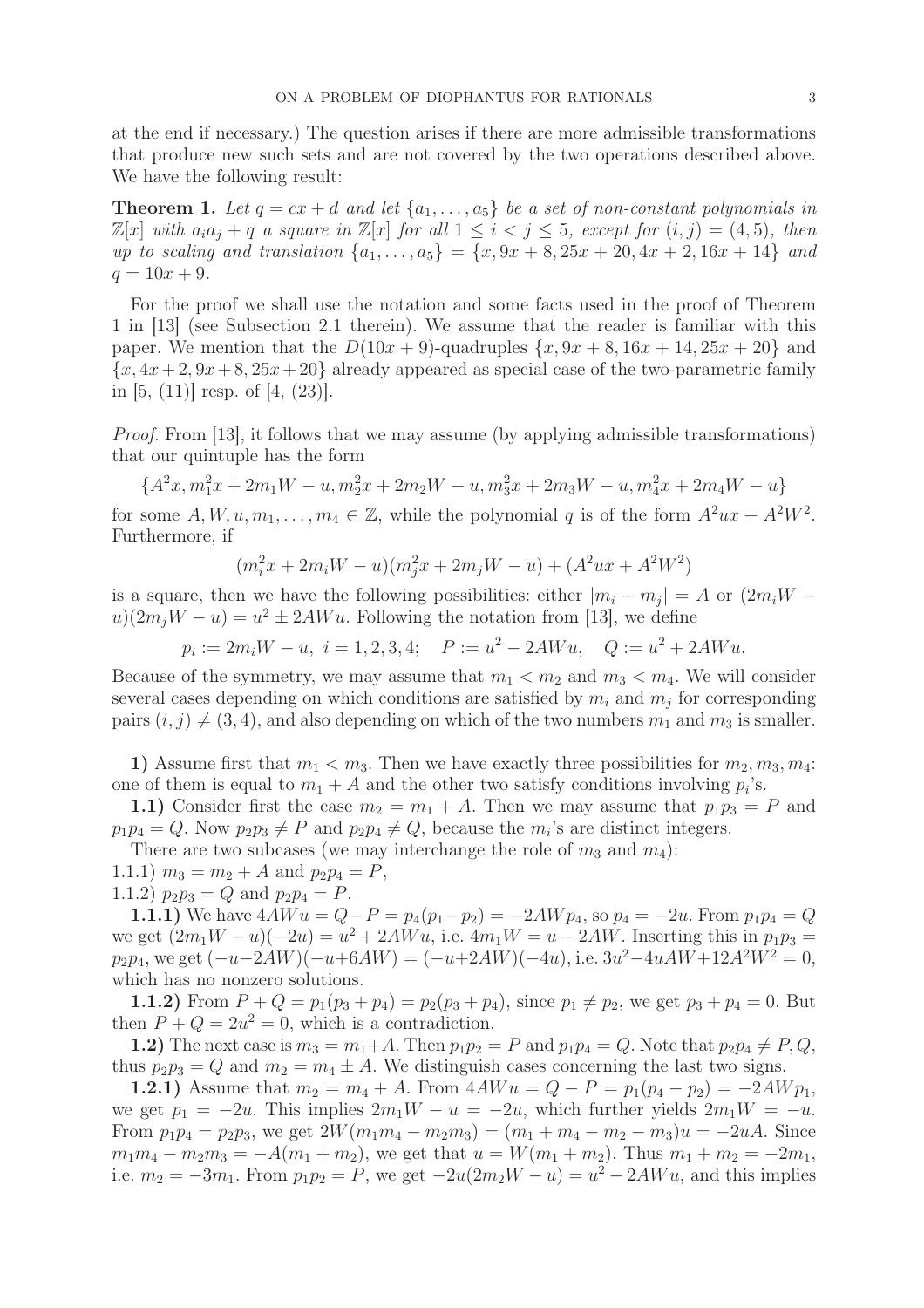at the end if necessary.) The question arises if there are more admissible transformations that produce new such sets and are not covered by the two operations described above. We have the following result:

**Theorem 1.** Let  $q = cx + d$  and let  $\{a_1, \ldots, a_5\}$  be a set of non-constant polynomials in  $\mathbb{Z}[x]$  with  $a_i a_j + q$  a square in  $\mathbb{Z}[x]$  for all  $1 \leq i \leq j \leq 5$ , except for  $(i, j) = (4, 5)$ , then up to scaling and translation  $\{a_1, \ldots, a_5\} = \{x, 9x + 8, 25x + 20, 4x + 2, 16x + 14\}$  and  $q = 10x + 9.$ 

For the proof we shall use the notation and some facts used in the proof of Theorem 1 in [13] (see Subsection 2.1 therein). We assume that the reader is familiar with this paper. We mention that the  $D(10x + 9)$ -quadruples  $\{x, 9x + 8, 16x + 14, 25x + 20\}$  and  ${x, 4x+2, 9x+8, 25x+20}$  already appeared as special case of the two-parametric family in  $[5, (11)]$  resp. of  $[4, (23)]$ .

Proof. From [13], it follows that we may assume (by applying admissible transformations) that our quintuple has the form

$$
\{A^2x,m_1^2x+2m_1W-u,m_2^2x+2m_2W-u,m_3^2x+2m_3W-u,m_4^2x+2m_4W-u\}
$$

for some  $A, W, u, m_1, \ldots, m_4 \in \mathbb{Z}$ , while the polynomial q is of the form  $A^2ux + A^2W^2$ . Furthermore, if

$$
(m_i^2 x + 2 m_i W - u)(m_j^2 x + 2 m_j W - u) + (A^2 u x + A^2 W^2)
$$

is a square, then we have the following possibilities: either  $|m_i - m_j| = A$  or  $(2m_iW$  $u(2m_jW - u) = u^2 \pm 2AWu$ . Following the notation from [13], we define

$$
p_i := 2m_i W - u, \ i = 1, 2, 3, 4; \quad P := u^2 - 2AWu, \quad Q := u^2 + 2AWu.
$$

Because of the symmetry, we may assume that  $m_1 < m_2$  and  $m_3 < m_4$ . We will consider several cases depending on which conditions are satisfied by  $m_i$  and  $m_j$  for corresponding pairs  $(i, j) \neq (3, 4)$ , and also depending on which of the two numbers  $m_1$  and  $m_3$  is smaller.

1) Assume first that  $m_1 < m_3$ . Then we have exactly three possibilities for  $m_2, m_3, m_4$ : one of them is equal to  $m_1 + A$  and the other two satisfy conditions involving  $p_i$ 's.

1.1) Consider first the case  $m_2 = m_1 + A$ . Then we may assume that  $p_1p_3 = P$  and  $p_1p_4 = Q$ . Now  $p_2p_3 \neq P$  and  $p_2p_4 \neq Q$ , because the  $m_i$ 's are distinct integers.

There are two subcases (we may interchange the role of  $m_3$  and  $m_4$ ):

1.1.1)  $m_3 = m_2 + A$  and  $p_2p_4 = P$ ,

1.1.2)  $p_2p_3 = Q$  and  $p_2p_4 = P$ .

1.1.1) We have  $4AWu = Q - P = p_4(p_1 - p_2) = -2AWp_4$ , so  $p_4 = -2u$ . From  $p_1p_4 = Q$ we get  $(2m_1W - u)(-2u) = u^2 + 2AWu$ , i.e.  $4m_1W = u - 2AW$ . Inserting this in  $p_1p_3 =$  $p_2p_4$ , we get  $(-u-2AW)(-u+6AW) = (-u+2AW)(-4u)$ , i.e.  $3u^2-4uAW+12A^2W^2 = 0$ , which has no nonzero solutions.

**1.1.2)** From  $P + Q = p_1(p_3 + p_4) = p_2(p_3 + p_4)$ , since  $p_1 \neq p_2$ , we get  $p_3 + p_4 = 0$ . But then  $P + Q = 2u^2 = 0$ , which is a contradiction.

1.2) The next case is  $m_3 = m_1 + A$ . Then  $p_1p_2 = P$  and  $p_1p_4 = Q$ . Note that  $p_2p_4 \neq P$ ,  $Q$ , thus  $p_2p_3 = Q$  and  $m_2 = m_4 \pm A$ . We distinguish cases concerning the last two signs.

1.2.1) Assume that  $m_2 = m_4 + A$ . From  $4AWu = Q - P = p_1(p_4 - p_2) = -2AWp_1$ , we get  $p_1 = -2u$ . This implies  $2m_1W - u = -2u$ , which further yields  $2m_1W = -u$ . From  $p_1p_4 = p_2p_3$ , we get  $2W(m_1m_4 - m_2m_3) = (m_1 + m_4 - m_2 - m_3)u = -2uA$ . Since  $m_1m_4 - m_2m_3 = -A(m_1 + m_2)$ , we get that  $u = W(m_1 + m_2)$ . Thus  $m_1 + m_2 = -2m_1$ , i.e.  $m_2 = -3m_1$ . From  $p_1p_2 = P$ , we get  $-2u(2m_2W - u) = u^2 - 2AWu$ , and this implies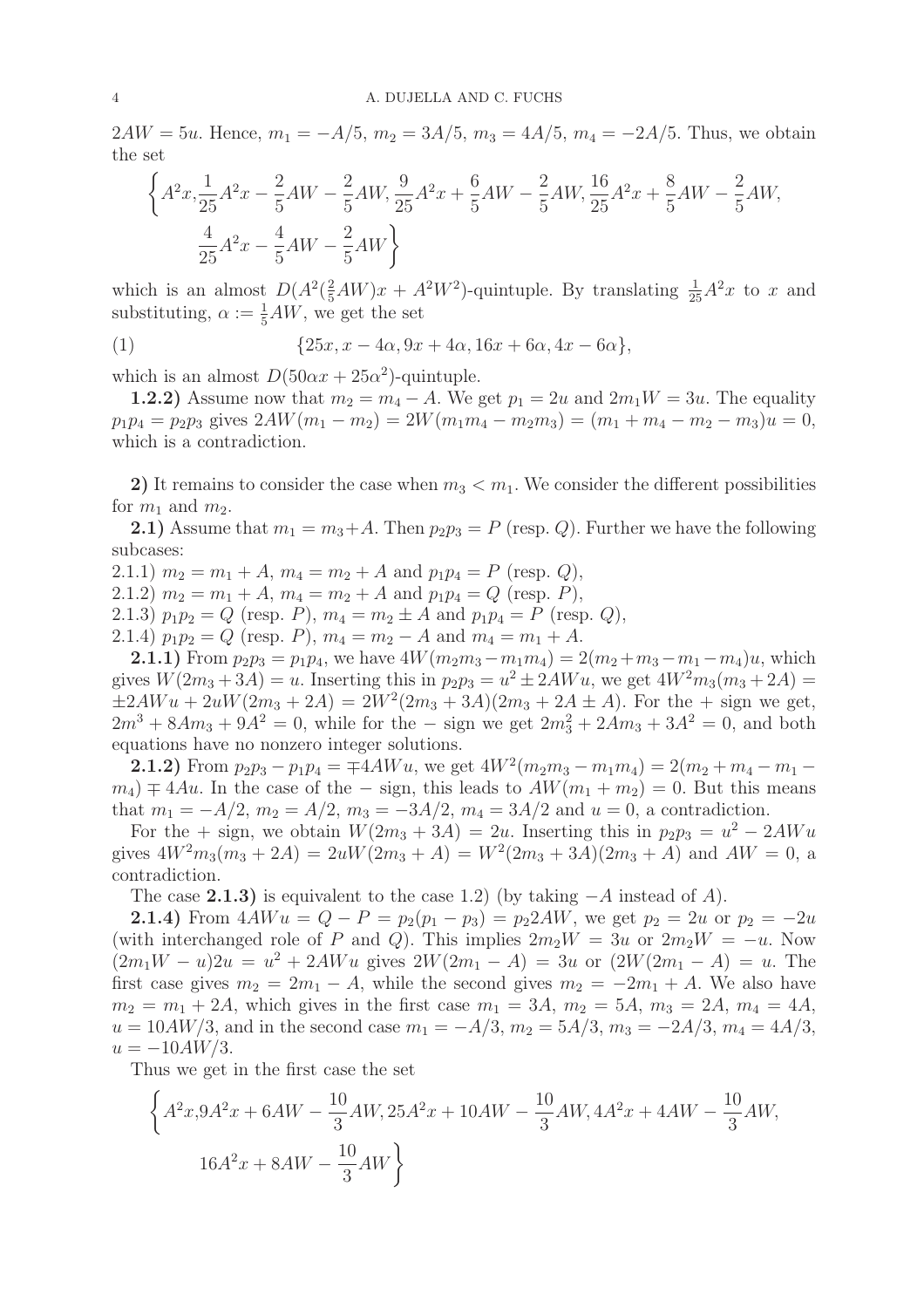$2AW = 5u$ . Hence,  $m_1 = -A/5$ ,  $m_2 = 3A/5$ ,  $m_3 = 4A/5$ ,  $m_4 = -2A/5$ . Thus, we obtain the set

$$
\left\{ A^{2}x, \frac{1}{25}A^{2}x - \frac{2}{5}AW - \frac{2}{5}AW, \frac{9}{25}A^{2}x + \frac{6}{5}AW - \frac{2}{5}AW, \frac{16}{25}A^{2}x + \frac{8}{5}AW - \frac{2}{5}AW, \frac{4}{25}A^{2}x - \frac{4}{5}AW - \frac{2}{5}AW \right\}
$$

which is an almost  $D(A^2(\frac{2}{5}AW)x + A^2W^2)$ -quintuple. By translating  $\frac{1}{25}A^2x$  to x and substituting,  $\alpha := \frac{1}{5}AW$ , we get the set

(1) 
$$
{25x, x - 4\alpha, 9x + 4\alpha, 16x + 6\alpha, 4x - 6\alpha},
$$

which is an almost  $D(50\alpha x + 25\alpha^2)$ -quintuple.

**1.2.2)** Assume now that  $m_2 = m_4 - A$ . We get  $p_1 = 2u$  and  $2m_1W = 3u$ . The equality  $p_1p_4 = p_2p_3$  gives  $2AW(m_1 - m_2) = 2W(m_1m_4 - m_2m_3) = (m_1 + m_4 - m_2 - m_3)u = 0$ , which is a contradiction.

2) It remains to consider the case when  $m_3 < m_1$ . We consider the different possibilities for  $m_1$  and  $m_2$ .

2.1) Assume that  $m_1 = m_3 + A$ . Then  $p_2p_3 = P$  (resp. Q). Further we have the following subcases:

2.1.1)  $m_2 = m_1 + A$ ,  $m_4 = m_2 + A$  and  $p_1p_4 = P$  (resp. Q), 2.1.2)  $m_2 = m_1 + A$ ,  $m_4 = m_2 + A$  and  $p_1p_4 = Q$  (resp. P), 2.1.3)  $p_1p_2 = Q$  (resp. P),  $m_4 = m_2 \pm A$  and  $p_1p_4 = P$  (resp. Q), 2.1.4)  $p_1p_2 = Q$  (resp. P),  $m_4 = m_2 - A$  and  $m_4 = m_1 + A$ .

2.1.1) From  $p_2p_3 = p_1p_4$ , we have  $4W(m_2m_3 - m_1m_4) = 2(m_2 + m_3 - m_1 - m_4)u$ , which gives  $W(2m_3 + 3A) = u$ . Inserting this in  $p_2p_3 = u^2 \pm 2AWu$ , we get  $4W^2m_3(m_3 + 2A) =$  $\pm 2AWu + 2uW(2m_3 + 2A) = 2W^2(2m_3 + 3A)(2m_3 + 2A \pm A)$ . For the + sign we get,  $2m^3 + 8Am_3 + 9A^2 = 0$ , while for the – sign we get  $2m_3^2 + 2Am_3 + 3A^2 = 0$ , and both equations have no nonzero integer solutions.

2.1.2) From  $p_2p_3 - p_1p_4 = \pm 4AWu$ , we get  $4W^2(m_2m_3 - m_1m_4) = 2(m_2 + m_4 - m_1 (m_4)$   $\mp$  4Au. In the case of the – sign, this leads to  $AW(m_1 + m_2) = 0$ . But this means that  $m_1 = -A/2$ ,  $m_2 = A/2$ ,  $m_3 = -3A/2$ ,  $m_4 = 3A/2$  and  $u = 0$ , a contradiction.

For the + sign, we obtain  $W(2m_3 + 3A) = 2u$ . Inserting this in  $p_2p_3 = u^2 - 2AWu$ gives  $4W^2m_3(m_3+2A) = 2uW(2m_3+A) = W^2(2m_3+3A)(2m_3+A)$  and  $AW = 0$ , a contradiction.

The case 2.1.3) is equivalent to the case 1.2) (by taking  $-A$  instead of A).

2.1.4) From  $4AWu = Q - P = p_2(p_1 - p_3) = p_22AW$ , we get  $p_2 = 2u$  or  $p_2 = -2u$ (with interchanged role of P and Q). This implies  $2m_2W = 3u$  or  $2m_2W = -u$ . Now  $(2m_1W - u)2u = u^2 + 2AWu$  gives  $2W(2m_1 - A) = 3u$  or  $(2W(2m_1 - A)) = u$ . The first case gives  $m_2 = 2m_1 - A$ , while the second gives  $m_2 = -2m_1 + A$ . We also have  $m_2 = m_1 + 2A$ , which gives in the first case  $m_1 = 3A$ ,  $m_2 = 5A$ ,  $m_3 = 2A$ ,  $m_4 = 4A$ ,  $u = 10AW/3$ , and in the second case  $m_1 = -A/3$ ,  $m_2 = 5A/3$ ,  $m_3 = -2A/3$ ,  $m_4 = 4A/3$ ,  $u = -10AW/3$ .

Thus we get in the first case the set

$$
\left\{ A^{2}x, 9A^{2}x + 6AW - \frac{10}{3}AW, 25A^{2}x + 10AW - \frac{10}{3}AW, 4A^{2}x + 4AW - \frac{10}{3}AW, 16A^{2}x + 8AW - \frac{10}{3}AW \right\}
$$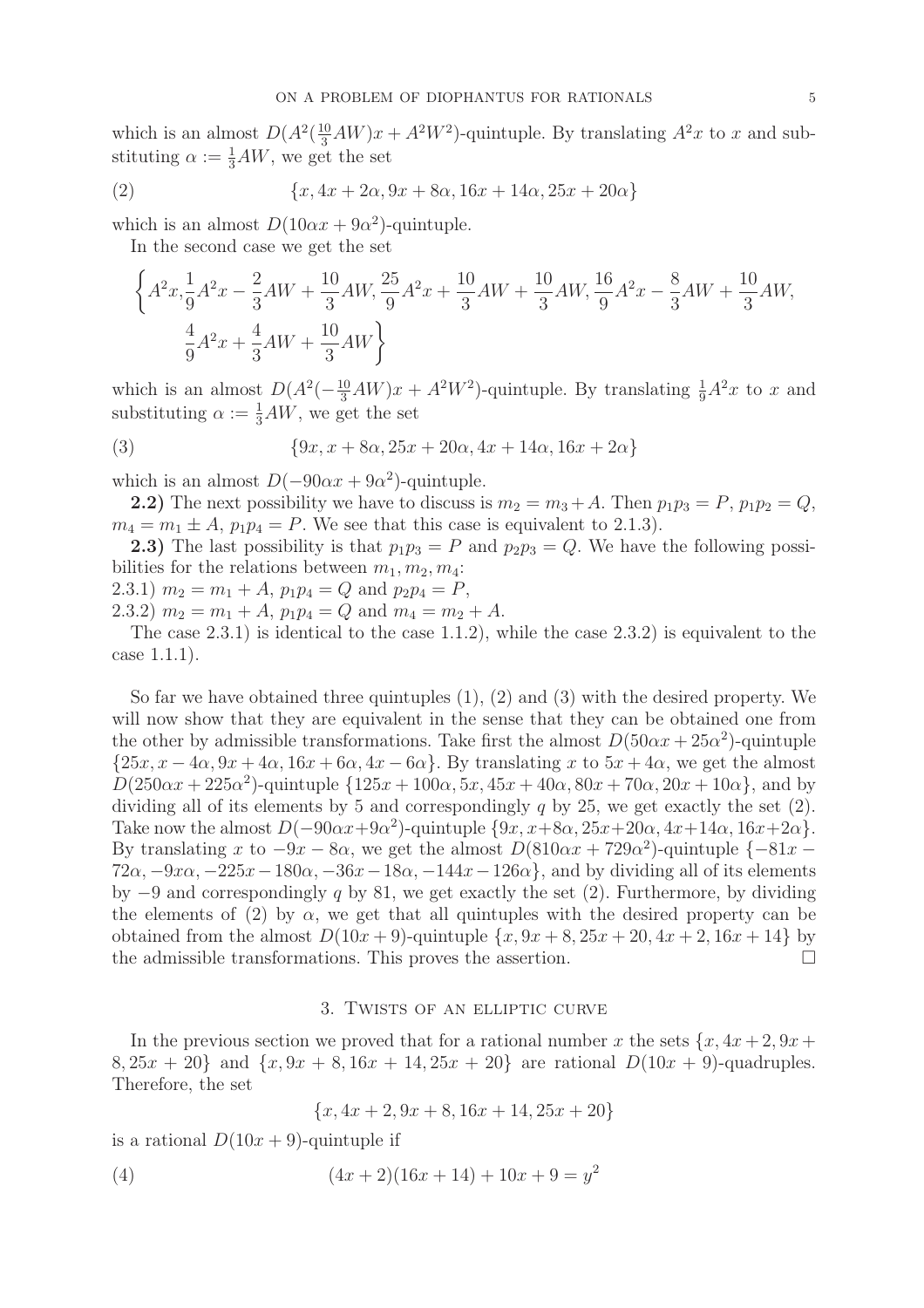which is an almost  $D(A^2(\frac{10}{3}AW)x + A^2W^2)$ -quintuple. By translating  $A^2x$  to x and substituting  $\alpha := \frac{1}{3}AW$ , we get the set

(2) 
$$
\{x, 4x + 2\alpha, 9x + 8\alpha, 16x + 14\alpha, 25x + 20\alpha\}
$$

which is an almost  $D(10\alpha x + 9\alpha^2)$ -quintuple.

In the second case we get the set

$$
\left\{ A^{2}x, \frac{1}{9}A^{2}x - \frac{2}{3}AW + \frac{10}{3}AW, \frac{25}{9}A^{2}x + \frac{10}{3}AW + \frac{10}{3}AW, \frac{16}{9}A^{2}x - \frac{8}{3}AW + \frac{10}{3}AW, \frac{4}{9}A^{2}x + \frac{4}{3}AW + \frac{10}{3}AW \right\}
$$

which is an almost  $D(A^2(-\frac{10}{3}AW)x + A^2W^2)$ -quintuple. By translating  $\frac{1}{9}A^2x$  to x and substituting  $\alpha := \frac{1}{3}AW$ , we get the set

(3) 
$$
{9x, x + 8\alpha, 25x + 20\alpha, 4x + 14\alpha, 16x + 2\alpha}
$$

which is an almost  $D(-90\alpha x + 9\alpha^2)$ -quintuple.

2.2) The next possibility we have to discuss is  $m_2 = m_3 + A$ . Then  $p_1p_3 = P$ ,  $p_1p_2 = Q$ ,  $m_4 = m_1 \pm A$ ,  $p_1p_4 = P$ . We see that this case is equivalent to 2.1.3).

**2.3)** The last possibility is that  $p_1p_3 = P$  and  $p_2p_3 = Q$ . We have the following possibilities for the relations between  $m_1, m_2, m_4$ :

2.3.1)  $m_2 = m_1 + A$ ,  $p_1p_4 = Q$  and  $p_2p_4 = P$ ,

2.3.2)  $m_2 = m_1 + A$ ,  $p_1p_4 = Q$  and  $m_4 = m_2 + A$ .

The case 2.3.1) is identical to the case 1.1.2), while the case 2.3.2) is equivalent to the case 1.1.1).

So far we have obtained three quintuples (1), (2) and (3) with the desired property. We will now show that they are equivalent in the sense that they can be obtained one from the other by admissible transformations. Take first the almost  $D(50\alpha x + 25\alpha^2)$ -quintuple  $\{25x, x - 4\alpha, 9x + 4\alpha, 16x + 6\alpha, 4x - 6\alpha\}$ . By translating x to  $5x + 4\alpha$ , we get the almost  $D(250\alpha x + 225\alpha^2)$ -quintuple  $\{125x + 100\alpha, 5x, 45x + 40\alpha, 80x + 70\alpha, 20x + 10\alpha\}$ , and by dividing all of its elements by 5 and correspondingly  $q$  by 25, we get exactly the set  $(2)$ . Take now the almost  $D(-90\alpha x+9\alpha^2)$ -quintuple  $\{9x, x+8\alpha, 25x+20\alpha, 4x+14\alpha, 16x+2\alpha\}.$ By translating x to  $-9x - 8\alpha$ , we get the almost  $D(810\alpha x + 729\alpha^2)$ -quintuple  $\{-81x 72\alpha$ ,  $-9x\alpha$ ,  $-225x-180\alpha$ ,  $-36x-18\alpha$ ,  $-144x-126\alpha$ , and by dividing all of its elements by  $-9$  and correspondingly q by 81, we get exactly the set (2). Furthermore, by dividing the elements of (2) by  $\alpha$ , we get that all quintuples with the desired property can be obtained from the almost  $D(10x + 9)$ -quintuple  $\{x, 9x + 8, 25x + 20, 4x + 2, 16x + 14\}$  by the admissible transformations. This proves the assertion. the admissible transformations. This proves the assertion.

### 3. Twists of an elliptic curve

In the previous section we proved that for a rational number x the sets  $\{x, 4x + 2, 9x +$  $8, 25x + 20$  and  $\{x, 9x + 8, 16x + 14, 25x + 20\}$  are rational  $D(10x + 9)$ -quadruples. Therefore, the set

$$
\{x, 4x + 2, 9x + 8, 16x + 14, 25x + 20\}
$$

is a rational  $D(10x + 9)$ -quintuple if

(4) 
$$
(4x+2)(16x+14) + 10x + 9 = y^2
$$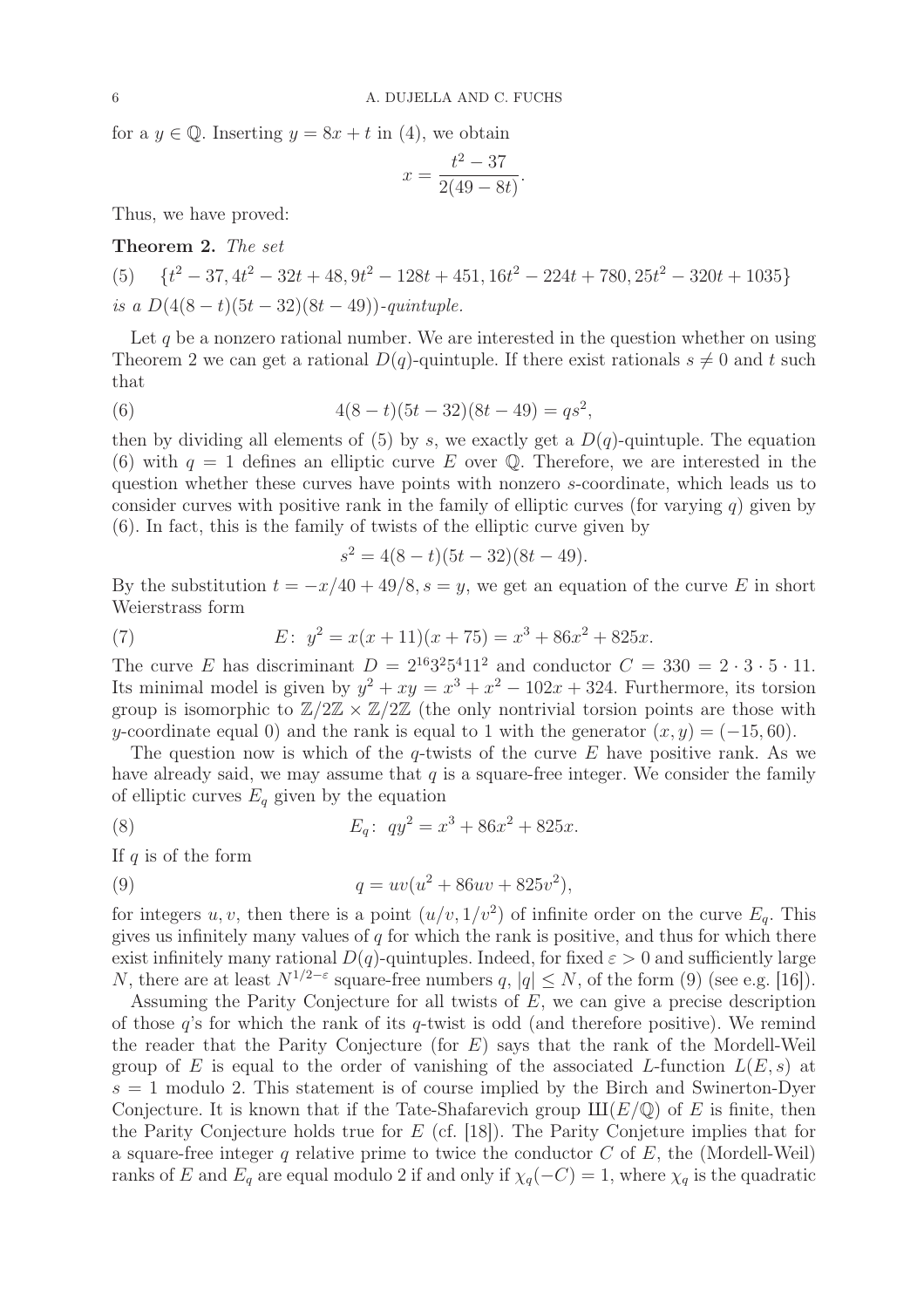for a  $y \in \mathbb{Q}$ . Inserting  $y = 8x + t$  in (4), we obtain

$$
x = \frac{t^2 - 37}{2(49 - 8t)}.
$$

Thus, we have proved:

Theorem 2. The set

(5)  $\{t^2 - 37, 4t^2 - 32t + 48, 9t^2 - 128t + 451, 16t^2 - 224t + 780, 25t^2 - 320t + 1035\}$ is a  $D(4(8-t)(5t-32)(8t-49))$ -quintuple.

Let  $q$  be a nonzero rational number. We are interested in the question whether on using Theorem 2 we can get a rational  $D(q)$ -quintuple. If there exist rationals  $s \neq 0$  and t such that

(6) 
$$
4(8-t)(5t-32)(8t-49) = qs^2,
$$

then by dividing all elements of (5) by s, we exactly get a  $D(q)$ -quintuple. The equation (6) with  $q = 1$  defines an elliptic curve E over Q. Therefore, we are interested in the question whether these curves have points with nonzero s-coordinate, which leads us to consider curves with positive rank in the family of elliptic curves (for varying  $q$ ) given by (6). In fact, this is the family of twists of the elliptic curve given by

$$
s^2 = 4(8-t)(5t-32)(8t-49).
$$

By the substitution  $t = -x/40 + 49/8$ ,  $s = y$ , we get an equation of the curve E in short Weierstrass form

(7) 
$$
E: y^2 = x(x+11)(x+75) = x^3 + 86x^2 + 825x.
$$

The curve E has discriminant  $D = 2^{16}3^25^411^2$  and conductor  $C = 330 = 2 \cdot 3 \cdot 5 \cdot 11$ . Its minimal model is given by  $y^2 + xy = x^3 + x^2 - 102x + 324$ . Furthermore, its torsion group is isomorphic to  $\mathbb{Z}/2\mathbb{Z} \times \mathbb{Z}/2\mathbb{Z}$  (the only nontrivial torsion points are those with y-coordinate equal 0) and the rank is equal to 1 with the generator  $(x, y) = (-15, 60)$ .

The question now is which of the q-twists of the curve  $E$  have positive rank. As we have already said, we may assume that  $q$  is a square-free integer. We consider the family of elliptic curves  $E_q$  given by the equation

(8) 
$$
E_q: \ qy^2 = x^3 + 86x^2 + 825x.
$$

If  $q$  is of the form

(9) 
$$
q = uv(u^2 + 86uv + 825v^2),
$$

for integers u, v, then there is a point  $(u/v, 1/v^2)$  of infinite order on the curve  $E_q$ . This gives us infinitely many values of  $q$  for which the rank is positive, and thus for which there exist infinitely many rational  $D(q)$ -quintuples. Indeed, for fixed  $\varepsilon > 0$  and sufficiently large N, there are at least  $N^{1/2-\epsilon}$  square-free numbers  $q, |q| \leq N$ , of the form (9) (see e.g. [16]).

Assuming the Parity Conjecture for all twists of E, we can give a precise description of those  $q$ 's for which the rank of its  $q$ -twist is odd (and therefore positive). We remind the reader that the Parity Conjecture (for E) says that the rank of the Mordell-Weil group of E is equal to the order of vanishing of the associated L-function  $L(E, s)$  at  $s = 1$  modulo 2. This statement is of course implied by the Birch and Swinerton-Dyer Conjecture. It is known that if the Tate-Shafarevich group  $III(E/\mathbb{Q})$  of E is finite, then the Parity Conjecture holds true for  $E$  (cf. [18]). The Parity Conjeture implies that for a square-free integer q relative prime to twice the conductor  $C$  of  $E$ , the (Mordell-Weil) ranks of E and  $E_q$  are equal modulo 2 if and only if  $\chi_q(-C) = 1$ , where  $\chi_q$  is the quadratic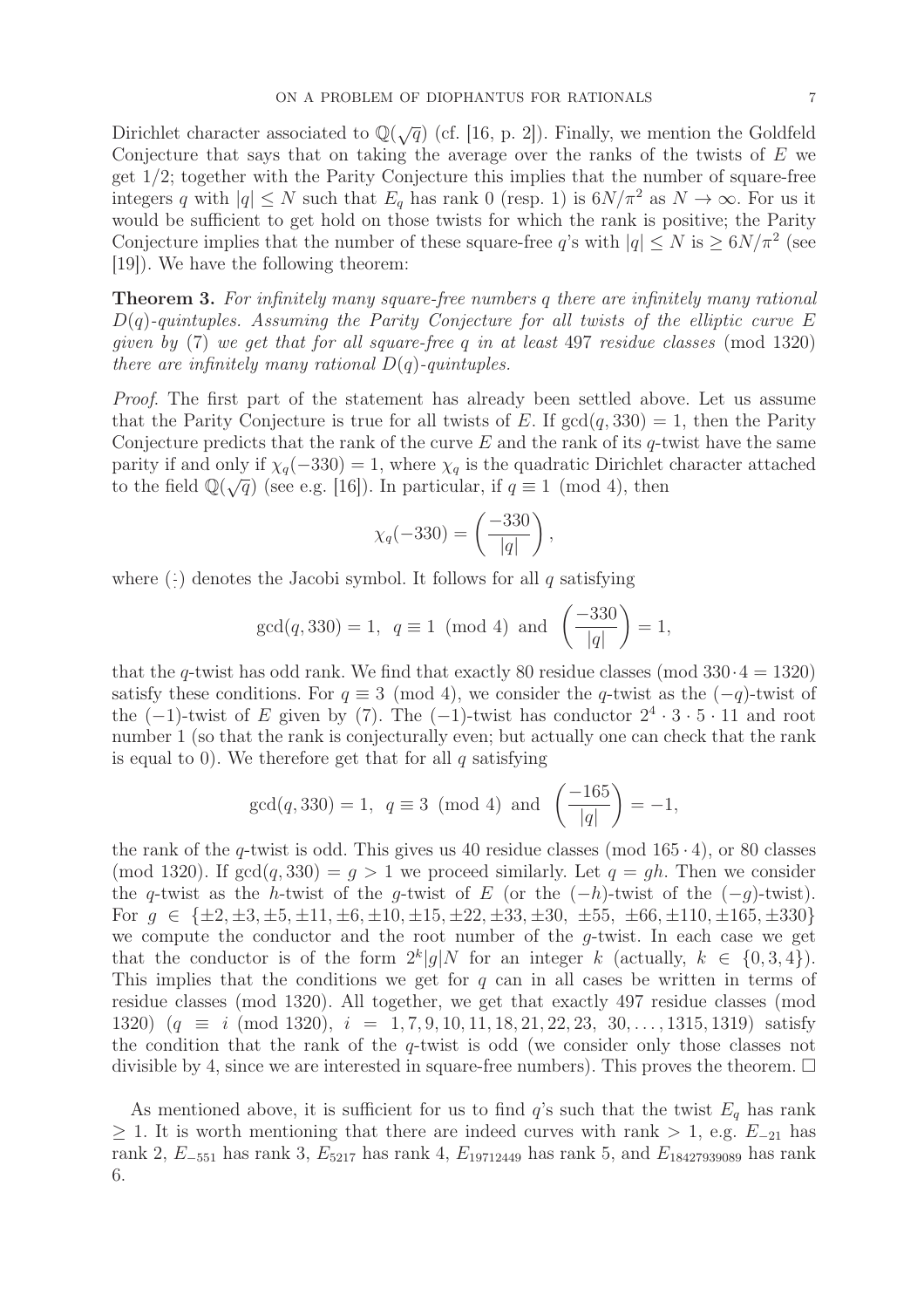Dirichlet character associated to  $\mathbb{Q}(\sqrt{q})$  (cf. [16, p. 2]). Finally, we mention the Goldfeld Conjecture that says that on taking the average over the ranks of the twists of  $E$  we get 1/2; together with the Parity Conjecture this implies that the number of square-free integers q with  $|q| \leq N$  such that  $E_q$  has rank 0 (resp. 1) is  $6N/\pi^2$  as  $N \to \infty$ . For us it would be sufficient to get hold on those twists for which the rank is positive; the Parity Conjecture implies that the number of these square-free q's with  $|q| \le N$  is  $\ge 6N/\pi^2$  (see [19]). We have the following theorem:

**Theorem 3.** For infinitely many square-free numbers q there are infinitely many rational  $D(q)$ -quintuples. Assuming the Parity Conjecture for all twists of the elliptic curve E given by  $(7)$  we get that for all square-free q in at least 497 residue classes (mod 1320) there are infinitely many rational  $D(q)$ -quintuples.

Proof. The first part of the statement has already been settled above. Let us assume that the Parity Conjecture is true for all twists of E. If  $gcd(q, 330) = 1$ , then the Parity Conjecture predicts that the rank of the curve  $E$  and the rank of its q-twist have the same parity if and only if  $\chi_q(-330) = 1$ , where  $\chi_q$  is the quadratic Dirichlet character attached to the field  $\mathbb{Q}(\sqrt{q})$  (see e.g. [16]). In particular, if  $q \equiv 1 \pmod{4}$ , then

$$
\chi_q(-330) = \left(\frac{-330}{|q|}\right),\,
$$

where  $(\frac{1}{2})$ · ) denotes the Jacobi symbol. It follows for all q satisfying

$$
gcd(q, 330) = 1
$$
,  $q \equiv 1 \pmod{4}$  and  $\left(\frac{-330}{|q|}\right) = 1$ ,

that the q-twist has odd rank. We find that exactly 80 residue classes (mod  $330 \cdot 4 = 1320$ ) satisfy these conditions. For  $q \equiv 3 \pmod{4}$ , we consider the q-twist as the  $(-q)$ -twist of the  $(-1)$ -twist of E given by (7). The  $(-1)$ -twist has conductor  $2^4 \cdot 3 \cdot 5 \cdot 11$  and root number 1 (so that the rank is conjecturally even; but actually one can check that the rank is equal to 0). We therefore get that for all  $q$  satisfying

$$
gcd(q, 330) = 1
$$
,  $q \equiv 3 \pmod{4}$  and  $\left(\frac{-165}{|q|}\right) = -1$ ,

the rank of the q-twist is odd. This gives us 40 residue classes (mod  $165 \cdot 4$ ), or 80 classes (mod 1320). If  $gcd(q, 330) = q > 1$  we proceed similarly. Let  $q = gh$ . Then we consider the q-twist as the h-twist of the q-twist of E (or the  $(-h)$ -twist of the  $(-q)$ -twist). For  $g \in \{\pm 2, \pm 3, \pm 5, \pm 11, \pm 6, \pm 10, \pm 15, \pm 22, \pm 33, \pm 30, \pm 55, \pm 66, \pm 110, \pm 165, \pm 330\}$ we compute the conductor and the root number of the g-twist. In each case we get that the conductor is of the form  $2^k|g|N$  for an integer k (actually,  $k \in \{0,3,4\}$ ). This implies that the conditions we get for  $q$  can in all cases be written in terms of residue classes (mod 1320). All together, we get that exactly 497 residue classes (mod 1320)  $(q \equiv i \pmod{1320}, i = 1, 7, 9, 10, 11, 18, 21, 22, 23, 30, \ldots, 1315, 1319)$  satisfy the condition that the rank of the q-twist is odd (we consider only those classes not divisible by 4, since we are interested in square-free numbers). This proves the theorem.  $\Box$ 

As mentioned above, it is sufficient for us to find  $q$ 's such that the twist  $E_q$  has rank  $\geq$  1. It is worth mentioning that there are indeed curves with rank > 1, e.g.  $E_{-21}$  has rank 2,  $E_{-551}$  has rank 3,  $E_{5217}$  has rank 4,  $E_{19712449}$  has rank 5, and  $E_{18427939089}$  has rank 6.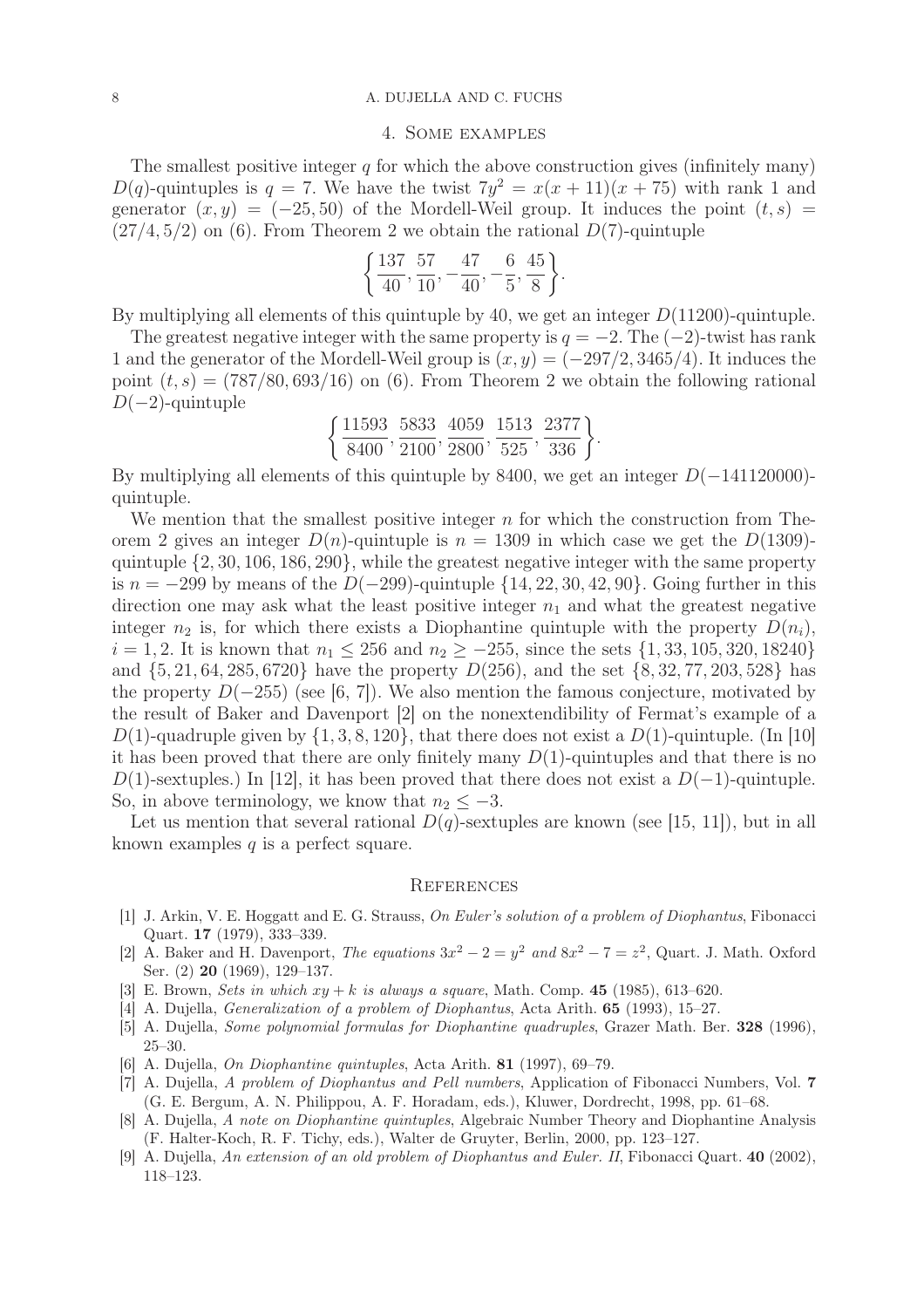#### 8 A. DUJELLA AND C. FUCHS

#### 4. Some examples

The smallest positive integer  $q$  for which the above construction gives (infinitely many)  $D(q)$ -quintuples is  $q = 7$ . We have the twist  $7y^2 = x(x + 11)(x + 75)$  with rank 1 and generator  $(x, y) = (-25, 50)$  of the Mordell-Weil group. It induces the point  $(t, s)$  $(27/4, 5/2)$  on (6). From Theorem 2 we obtain the rational  $D(7)$ -quintuple

$$
\left\{\frac{137}{40}, \frac{57}{10}, -\frac{47}{40}, -\frac{6}{5}, \frac{45}{8}\right\}.
$$

By multiplying all elements of this quintuple by 40, we get an integer  $D(11200)$ -quintuple.

The greatest negative integer with the same property is  $q = -2$ . The  $(-2)$ -twist has rank 1 and the generator of the Mordell-Weil group is  $(x, y) = (-297/2, 3465/4)$ . It induces the point  $(t, s) = (787/80, 693/16)$  on (6). From Theorem 2 we obtain the following rational  $D(-2)$ -quintuple

$$
\left\{\frac{11593}{8400},\frac{5833}{2100},\frac{4059}{2800},\frac{1513}{525},\frac{2377}{336}\right\}.
$$

By multiplying all elements of this quintuple by 8400, we get an integer D(−141120000) quintuple.

We mention that the smallest positive integer  $n$  for which the construction from Theorem 2 gives an integer  $D(n)$ -quintuple is  $n = 1309$  in which case we get the  $D(1309)$ quintuple {2, 30, 106, 186, 290}, while the greatest negative integer with the same property is  $n = -299$  by means of the  $D(-299)$ -quintuple  $\{14, 22, 30, 42, 90\}$ . Going further in this direction one may ask what the least positive integer  $n_1$  and what the greatest negative integer  $n_2$  is, for which there exists a Diophantine quintuple with the property  $D(n_i)$ ,  $i = 1, 2$ . It is known that  $n_1 \le 256$  and  $n_2 \ge -255$ , since the sets  $\{1, 33, 105, 320, 18240\}$ and  $\{5, 21, 64, 285, 6720\}$  have the property  $D(256)$ , and the set  $\{8, 32, 77, 203, 528\}$  has the property  $D(-255)$  (see [6, 7]). We also mention the famous conjecture, motivated by the result of Baker and Davenport [2] on the nonextendibility of Fermat's example of a D(1)-quadruple given by  $\{1, 3, 8, 120\}$ , that there does not exist a D(1)-quintuple. (In [10] it has been proved that there are only finitely many  $D(1)$ -quintuples and that there is no D(1)-sextuples.) In [12], it has been proved that there does not exist a  $D(-1)$ -quintuple. So, in above terminology, we know that  $n_2 \leq -3$ .

Let us mention that several rational  $D(q)$ -sextuples are known (see [15, 11]), but in all known examples  $q$  is a perfect square.

#### **REFERENCES**

- [1] J. Arkin, V. E. Hoggatt and E. G. Strauss, On Euler's solution of a problem of Diophantus, Fibonacci Quart. 17 (1979), 333–339.
- [2] A. Baker and H. Davenport, The equations  $3x^2 2 = y^2$  and  $8x^2 7 = z^2$ , Quart. J. Math. Oxford Ser. (2) **20** (1969), 129–137.
- [3] E. Brown, Sets in which  $xy + k$  is always a square, Math. Comp. 45 (1985), 613–620.
- [4] A. Dujella, Generalization of a problem of Diophantus, Acta Arith. 65 (1993), 15–27.
- [5] A. Dujella, Some polynomial formulas for Diophantine quadruples, Grazer Math. Ber. 328 (1996), 25–30.
- [6] A. Dujella, On Diophantine quintuples, Acta Arith. 81 (1997), 69–79.
- [7] A. Dujella, A problem of Diophantus and Pell numbers, Application of Fibonacci Numbers, Vol. 7 (G. E. Bergum, A. N. Philippou, A. F. Horadam, eds.), Kluwer, Dordrecht, 1998, pp. 61–68.
- [8] A. Dujella, A note on Diophantine quintuples, Algebraic Number Theory and Diophantine Analysis (F. Halter-Koch, R. F. Tichy, eds.), Walter de Gruyter, Berlin, 2000, pp. 123–127.
- [9] A. Dujella, An extension of an old problem of Diophantus and Euler. II, Fibonacci Quart. 40 (2002), 118–123.